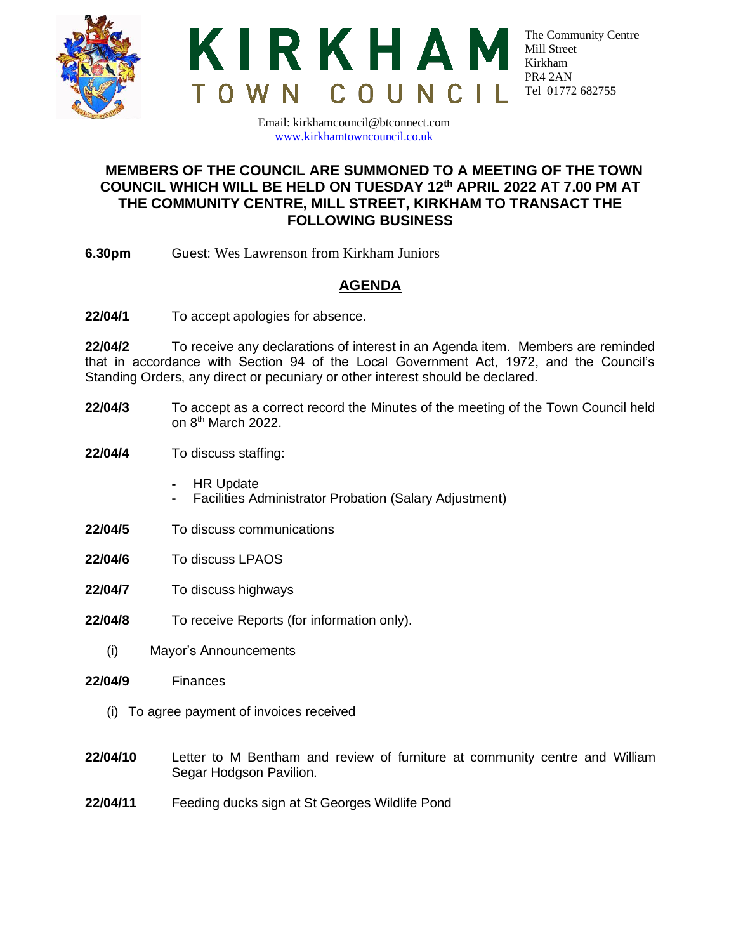



The Community Centre Mill Street Kirkham PR4 2AN Tel 01772 682755

Email: kirkhamcouncil@btconnect.com [www.kirkhamtowncouncil.co.uk](http://www.kirkhamtowncouncil.co.uk/)

## **MEMBERS OF THE COUNCIL ARE SUMMONED TO A MEETING OF THE TOWN COUNCIL WHICH WILL BE HELD ON TUESDAY 12 th APRIL 2022 AT 7.00 PM AT THE COMMUNITY CENTRE, MILL STREET, KIRKHAM TO TRANSACT THE FOLLOWING BUSINESS**

**6.30pm** Guest: Wes Lawrenson from Kirkham Juniors

## **AGENDA**

**22/04/1** To accept apologies for absence.

**22/04/2** To receive any declarations of interest in an Agenda item. Members are reminded that in accordance with Section 94 of the Local Government Act, 1972, and the Council's Standing Orders, any direct or pecuniary or other interest should be declared.

- **22/04/3** To accept as a correct record the Minutes of the meeting of the Town Council held on 8<sup>th</sup> March 2022.
- **22/04/4** To discuss staffing:
	- **-** HR Update
	- **-** Facilities Administrator Probation (Salary Adjustment)
- **22/04/5** To discuss communications
- **22/04/6** To discuss LPAOS
- **22/04/7** To discuss highways
- **22/04/8** To receive Reports (for information only).
	- (i) Mayor's Announcements
- **22/04/9** Finances
	- (i) To agree payment of invoices received
- **22/04/10** Letter to M Bentham and review of furniture at community centre and William Segar Hodgson Pavilion.
- **22/04/11** Feeding ducks sign at St Georges Wildlife Pond